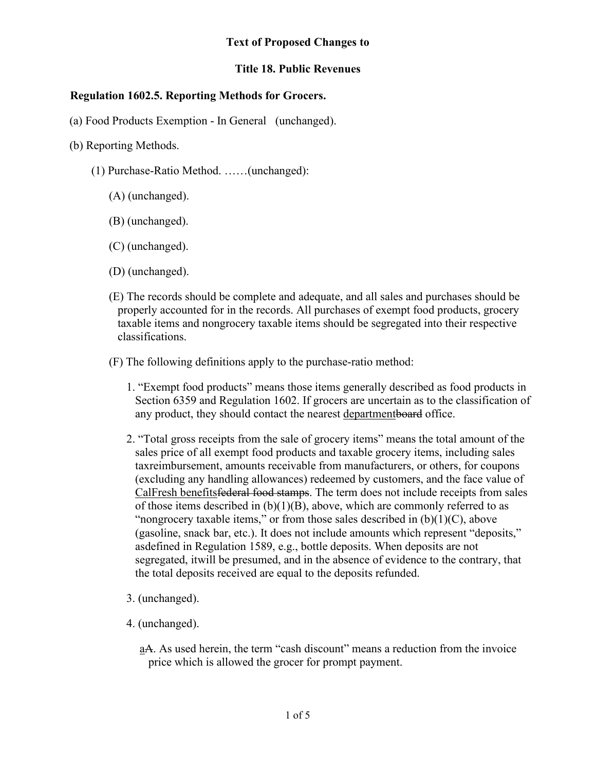## **Text of Proposed Changes to**

## **Title 18. Public Revenues**

## **Regulation 1602.5. Reporting Methods for Grocers.**

- (a) Food Products Exemption In General (unchanged).
- (b) Reporting Methods.
	- (1) Purchase-Ratio Method. ……(unchanged):
		- (A) (unchanged).
		- (B) (unchanged).
		- (C) (unchanged).
		- (D) (unchanged).
		- (E) The records should be complete and adequate, and all sales and purchases should be properly accounted for in the records. All purchases of exempt food products, grocery taxable items and nongrocery taxable items should be segregated into their respective classifications.
		- (F) The following definitions apply to the purchase-ratio method:
			- 1. "Exempt food products" means those items generally described as food products in Section 6359 and Regulation 1602. If grocers are uncertain as to the classification of any product, they should contact the nearest department board office.
			- 2. "Total gross receipts from the sale of grocery items" means the total amount of the sales price of all exempt food products and taxable grocery items, including sales tax reimbursement, amounts receivable from manufacturers, or others, for coupons (excluding any handling allowances) redeemed by customers, and the face value of CalFresh benefitsfederal food stamps. The term does not include receipts from sales of those items described in  $(b)(1)(B)$ , above, which are commonly referred to as "nongrocery taxable items," or from those sales described in  $(b)(1)(C)$ , above (gasoline, snack bar, etc.). It does not include amounts which represent "deposits," asdefined in Regulation 1589, e.g., bottle deposits. When deposits are not segregated, it will be presumed, and in the absence of evidence to the contrary, that the total deposits received are equal to the deposits refunded.
			- 3. (unchanged).
			- 4. (unchanged).
				- aA. As used herein, the term "cash discount" means a reduction from the invoice price which is allowed the grocer for prompt payment.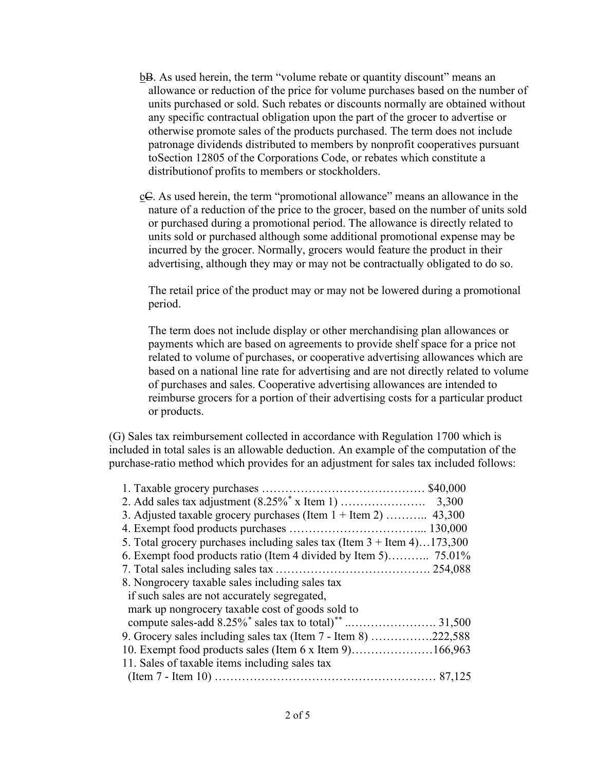- b<sub>B</sub>. As used herein, the term "volume rebate or quantity discount" means an allowance or reduction of the price for volume purchases based on the number of units purchased or sold. Such rebates or discounts normally are obtained without any specific contractual obligation upon the part of the grocer to advertise or otherwise promote sales of the products purchased. The term does not include patronage dividends distributed to members by nonprofit cooperatives pursuant to Section 12805 of the Corporations Code, or rebates which constitute a distribution of profits to members or stockholders.
- $c\in$ . As used herein, the term "promotional allowance" means an allowance in the nature of a reduction of the price to the grocer, based on the number of units sold or purchased during a promotional period. The allowance is directly related to units sold or purchased although some additional promotional expense may be incurred by the grocer. Normally, grocers would feature the product in their advertising, although they may or may not be contractually obligated to do so.

The retail price of the product may or may not be lowered during a promotional period.

The term does not include display or other merchandising plan allowances or payments which are based on agreements to provide shelf space for a price not related to volume of purchases, or cooperative advertising allowances which are based on a national line rate for advertising and are not directly related to volume of purchases and sales. Cooperative advertising allowances are intended to reimburse grocers for a portion of their advertising costs for a particular product or products.

(G) Sales tax reimbursement collected in accordance with Regulation 1700 which is included in total sales is an allowable deduction. An example of the computation of the purchase-ratio method which provides for an adjustment for sales tax included follows:

| 3. Adjusted taxable grocery purchases (Item $1 +$ Item 2)  43,300                  |  |
|------------------------------------------------------------------------------------|--|
|                                                                                    |  |
| 5. Total grocery purchases including sales tax (Item $3 +$ Item $4) \dots 173,300$ |  |
| 6. Exempt food products ratio (Item 4 divided by Item 5) 75.01%                    |  |
|                                                                                    |  |
| 8. Nongrocery taxable sales including sales tax                                    |  |
| if such sales are not accurately segregated,                                       |  |
| mark up nongrocery taxable cost of goods sold to                                   |  |
|                                                                                    |  |
| 9. Grocery sales including sales tax (Item $7 -$ Item 8) 222,588                   |  |
| 10. Exempt food products sales (Item 6 x Item 9)166,963                            |  |
| 11. Sales of taxable items including sales tax                                     |  |
|                                                                                    |  |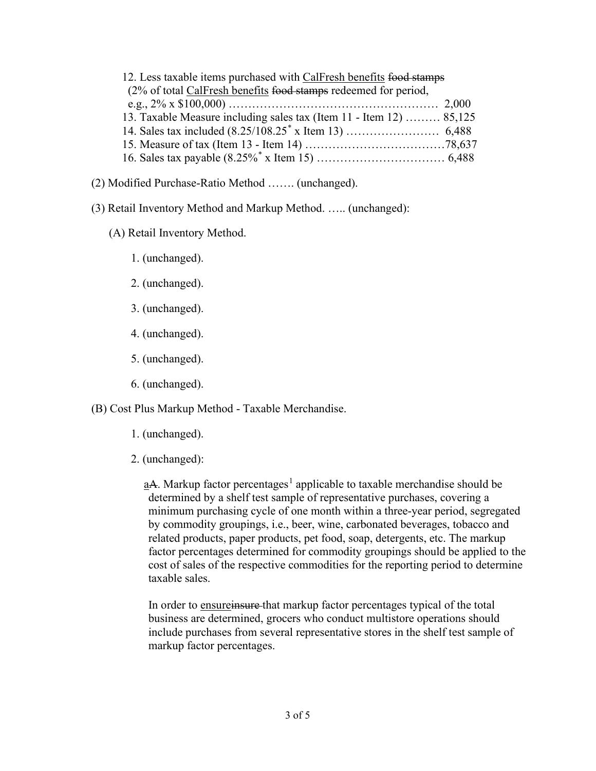| 12. Less taxable items purchased with CalFresh benefits food stamps |  |
|---------------------------------------------------------------------|--|
| (2% of total CalFresh benefits food stamps redeemed for period,     |  |
|                                                                     |  |
| 13. Taxable Measure including sales tax (Item 11 - Item 12)  85,125 |  |
|                                                                     |  |
|                                                                     |  |
|                                                                     |  |

- (2) Modified Purchase-Ratio Method ……. (unchanged).
- (3) Retail Inventory Method and Markup Method. ….. (unchanged):
	- (A) Retail Inventory Method.
		- 1. (unchanged).
		- 2. (unchanged).
		- 3. (unchanged).
		- 4. (unchanged).
		- 5. (unchanged).
		- 6. (unchanged).

(B) Cost Plus Markup Method - Taxable Merchandise.

- 1. (unchanged).
- 2. (unchanged):

 $\underline{a}A$ . Markup factor percentages<sup>1</sup> applicable to taxable merchandise should be determined by a shelf test sample of representative purchases, covering a minimum purchasing cycle of one month within a three-year period, segregated by commodity groupings, i.e., beer, wine, carbonated beverages, tobacco and related products, paper products, pet food, soap, detergents, etc. The markup factor percentages determined for commodity groupings should be applied to the cost of sales of the respective commodities for the reporting period to determine taxable sales.

In order to ensureinsure that markup factor percentages typical of the total business are determined, grocers who conduct multistore operations should include purchases from several representative stores in the shelf test sample of markup factor percentages.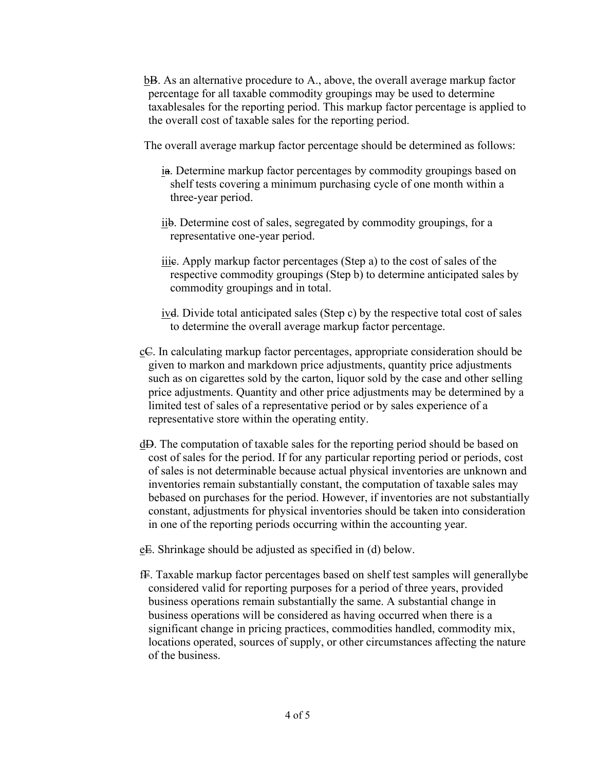b<sub>B</sub>. As an alternative procedure to A., above, the overall average markup factor percentage for all taxable commodity groupings may be used to determine taxable sales for the reporting period. This markup factor percentage is applied to the overall cost of taxable sales for the reporting period.

The overall average markup factor percentage should be determined as follows:

- ia. Determine markup factor percentages by commodity groupings based on shelf tests covering a minimum purchasing cycle of one month within a three-year period.
- iib. Determine cost of sales, segregated by commodity groupings, for a representative one-year period.
- iiic. Apply markup factor percentages (Step a) to the cost of sales of the respective commodity groupings (Step b) to determine anticipated sales by commodity groupings and in total.
- ivd. Divide total anticipated sales (Step c) by the respective total cost of sales to determine the overall average markup factor percentage.
- $c\in$ . In calculating markup factor percentages, appropriate consideration should be given to markon and markdown price adjustments, quantity price adjustments such as on cigarettes sold by the carton, liquor sold by the case and other selling price adjustments. Quantity and other price adjustments may be determined by a limited test of sales of a representative period or by sales experience of a representative store within the operating entity.
- dD. The computation of taxable sales for the reporting period should be based on cost of sales for the period. If for any particular reporting period or periods, cost of sales is not determinable because actual physical inventories are unknown and inventories remain substantially constant, the computation of taxable sales may be based on purchases for the period. However, if inventories are not substantially constant, adjustments for physical inventories should be taken into consideration in one of the reporting periods occurring within the accounting year.
- eE. Shrinkage should be adjusted as specified in (d) below.
- fF. Taxable markup factor percentages based on shelf test samples will generallybe considered valid for reporting purposes for a period of three years, provided business operations remain substantially the same. A substantial change in business operations will be considered as having occurred when there is a significant change in pricing practices, commodities handled, commodity mix, locations operated, sources of supply, or other circumstances affecting the nature of the business.